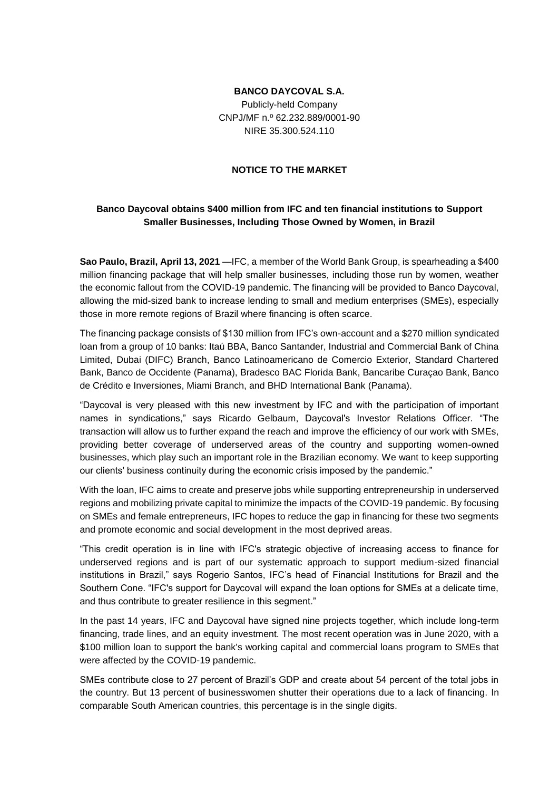# **BANCO DAYCOVAL S.A.**

Publicly-held Company CNPJ/MF n.º 62.232.889/0001-90 NIRE 35.300.524.110

# **NOTICE TO THE MARKET**

# **Banco Daycoval obtains \$400 million from IFC and ten financial institutions to Support Smaller Businesses, Including Those Owned by Women, in Brazil**

**Sao Paulo, Brazil, April 13, 2021** —IFC, a member of the World Bank Group, is spearheading a \$400 million financing package that will help smaller businesses, including those run by women, weather the economic fallout from the COVID-19 pandemic. The financing will be provided to Banco Daycoval, allowing the mid-sized bank to increase lending to small and medium enterprises (SMEs), especially those in more remote regions of Brazil where financing is often scarce.

The financing package consists of \$130 million from IFC's own-account and a \$270 million syndicated loan from a group of 10 banks: Itaú BBA, Banco Santander, Industrial and Commercial Bank of China Limited, Dubai (DIFC) Branch, Banco Latinoamericano de Comercio Exterior, Standard Chartered Bank, Banco de Occidente (Panama), Bradesco BAC Florida Bank, Bancaribe Curaçao Bank, Banco de Crédito e Inversiones, Miami Branch, and BHD International Bank (Panama).

"Daycoval is very pleased with this new investment by IFC and with the participation of important names in syndications," says Ricardo Gelbaum, Daycoval's Investor Relations Officer. "The transaction will allow us to further expand the reach and improve the efficiency of our work with SMEs, providing better coverage of underserved areas of the country and supporting women-owned businesses, which play such an important role in the Brazilian economy. We want to keep supporting our clients' business continuity during the economic crisis imposed by the pandemic."

With the loan, IFC aims to create and preserve jobs while supporting entrepreneurship in underserved regions and mobilizing private capital to minimize the impacts of the COVID-19 pandemic. By focusing on SMEs and female entrepreneurs, IFC hopes to reduce the gap in financing for these two segments and promote economic and social development in the most deprived areas.

"This credit operation is in line with IFC's strategic objective of increasing access to finance for underserved regions and is part of our systematic approach to support medium-sized financial institutions in Brazil," says Rogerio Santos, IFC's head of Financial Institutions for Brazil and the Southern Cone. "IFC's support for Daycoval will expand the loan options for SMEs at a delicate time, and thus contribute to greater resilience in this segment."

In the past 14 years, IFC and Daycoval have signed nine projects together, which include long-term financing, trade lines, and an equity investment. The most recent operation was in June 2020, with a \$100 million loan to support the bank's working capital and commercial loans program to SMEs that were affected by the COVID-19 pandemic.

SMEs contribute close to 27 percent of Brazil's GDP and create about 54 percent of the total jobs in the country. But 13 percent of businesswomen shutter their operations due to a lack of financing. In comparable South American countries, this percentage is in the single digits.